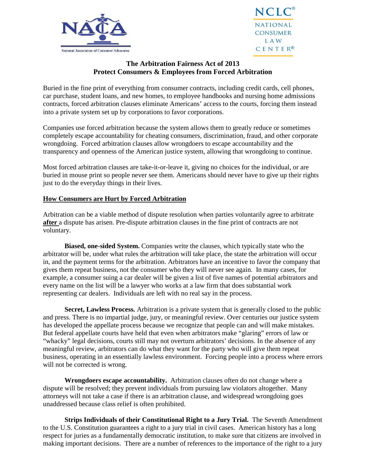



## **The Arbitration Fairness Act of 2013 Protect Consumers & Employees from Forced Arbitration**

Buried in the fine print of everything from consumer contracts, including credit cards, cell phones, car purchase, student loans, and new homes, to employee handbooks and nursing home admissions contracts, forced arbitration clauses eliminate Americans' access to the courts, forcing them instead into a private system set up by corporations to favor corporations.

Companies use forced arbitration because the system allows them to greatly reduce or sometimes completely escape accountability for cheating consumers, discrimination, fraud, and other corporate wrongdoing. Forced arbitration clauses allow wrongdoers to escape accountability and the transparency and openness of the American justice system, allowing that wrongdoing to continue.

Most forced arbitration clauses are take-it-or-leave it, giving no choices for the individual, or are buried in mouse print so people never see them. Americans should never have to give up their rights just to do the everyday things in their lives.

## **How Consumers are Hurt by Forced Arbitration**

Arbitration can be a viable method of dispute resolution when parties voluntarily agree to arbitrate **after** a dispute has arisen. Pre-dispute arbitration clauses in the fine print of contracts are not voluntary.

**Biased, one-sided System.** Companies write the clauses, which typically state who the arbitrator will be, under what rules the arbitration will take place, the state the arbitration will occur in, and the payment terms for the arbitration. Arbitrators have an incentive to favor the company that gives them repeat business, not the consumer who they will never see again. In many cases, for example, a consumer suing a car dealer will be given a list of five names of potential arbitrators and every name on the list will be a lawyer who works at a law firm that does substantial work representing car dealers. Individuals are left with no real say in the process.

**Secret, Lawless Process.** Arbitration is a private system that is generally closed to the public and press. There is no impartial judge, jury, or meaningful review. Over centuries our justice system has developed the appellate process because we recognize that people can and will make mistakes. But federal appellate courts have held that even when arbitrators make "glaring" errors of law or "whacky" legal decisions, courts still may not overturn arbitrators' decisions. In the absence of any meaningful review, arbitrators can do what they want for the party who will give them repeat business, operating in an essentially lawless environment. Forcing people into a process where errors will not be corrected is wrong.

 **Wrongdoers escape accountability.** Arbitration clauses often do not change where a dispute will be resolved; they prevent individuals from pursuing law violators altogether. Many attorneys will not take a case if there is an arbitration clause, and widespread wrongdoing goes unaddressed because class relief is often prohibited.

**Strips Individuals of their Constitutional Right to a Jury Trial.** The Seventh Amendment to the U.S. Constitution guarantees a right to a jury trial in civil cases. American history has a long respect for juries as a fundamentally democratic institution, to make sure that citizens are involved in making important decisions. There are a number of references to the importance of the right to a jury